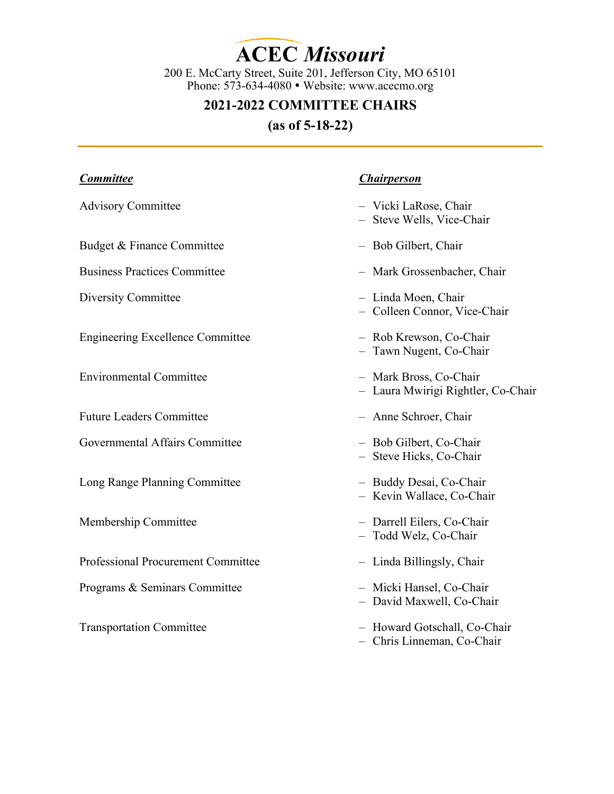**ACEC** *Missouri*

200 E. McCarty Street, Suite 201, Jefferson City, MO 65101 Phone: 573-634-4080 • Website: www.acecmo.org

# **2021-2022 COMMITTEE CHAIRS**

**(as of 5-18-22)** 

| <b>Committee</b>                        | <b>Chairperson</b>                                           |
|-----------------------------------------|--------------------------------------------------------------|
| <b>Advisory Committee</b>               | - Vicki LaRose, Chair<br>- Steve Wells, Vice-Chair           |
| Budget & Finance Committee              | - Bob Gilbert, Chair                                         |
| <b>Business Practices Committee</b>     | - Mark Grossenbacher, Chair                                  |
| Diversity Committee                     | - Linda Moen, Chair<br>- Colleen Connor, Vice-Chair          |
| <b>Engineering Excellence Committee</b> | - Rob Krewson, Co-Chair<br>- Tawn Nugent, Co-Chair           |
| <b>Environmental Committee</b>          | - Mark Bross, Co-Chair<br>- Laura Mwirigi Rightler, Co-Chair |
| <b>Future Leaders Committee</b>         | - Anne Schroer, Chair                                        |
| Governmental Affairs Committee          | - Bob Gilbert, Co-Chair<br>- Steve Hicks, Co-Chair           |
| Long Range Planning Committee           | - Buddy Desai, Co-Chair<br>- Kevin Wallace, Co-Chair         |
| Membership Committee                    | - Darrell Eilers, Co-Chair<br>- Todd Welz, Co-Chair          |
| Professional Procurement Committee      | - Linda Billingsly, Chair                                    |
| Programs & Seminars Committee           | - Micki Hansel, Co-Chair<br>- David Maxwell, Co-Chair        |
| <b>Transportation Committee</b>         | - Howard Gotschall, Co-Chair<br>- Chris Linneman, Co-Chair   |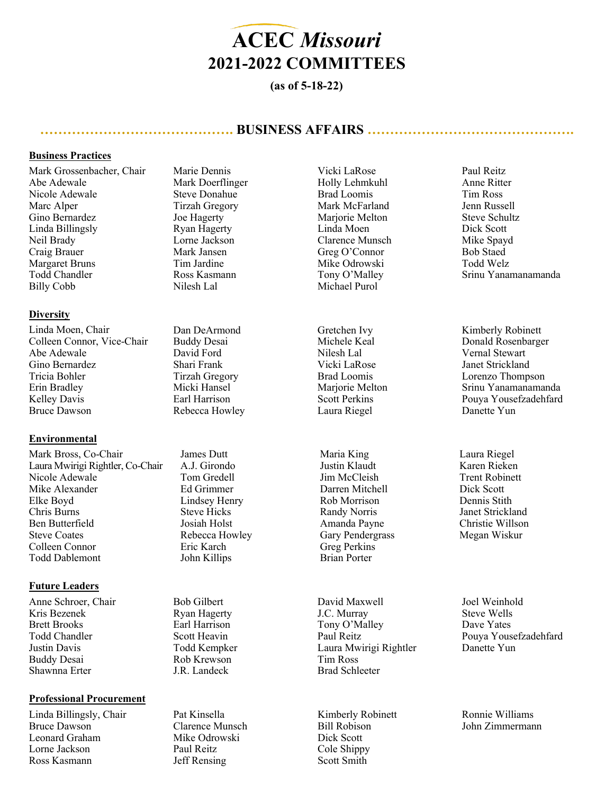

## **(as of 5-18-22)**

## **……………………………………. BUSINESS AFFAIRS ……………………………………….**

## **Business Practices**

Mark Grossenbacher, Chair Abe Adewale Nicole Adewale Marc Alper Gino Bernardez Linda Billingsly Neil Brady Craig Brauer Margaret Bruns Todd Chandler Billy Cobb

#### **Diversity**

Linda Moen, Chair Colleen Connor, Vice-Chair Abe Adewale Gino Bernardez Tricia Bohler Erin Bradley Kelley Davis Bruce Dawson

### **Environmental**

Mark Bross, Co-Chair Laura Mwirigi Rightler, Co-Chair Nicole Adewale Mike Alexander Elke Boyd Chris Burns Ben Butterfield Steve Coates Colleen Connor Todd Dablemont

#### **Future Leaders**

Anne Schroer, Chair Kris Bezenek Brett Brooks Todd Chandler Justin Davis Buddy Desai Shawnna Erter

#### **Professional Procurement**

Linda Billingsly, Chair Bruce Dawson Leonard Graham Lorne Jackson Ross Kasmann

Marie Dennis Mark Doerflinger Steve Donahue Tirzah Gregory Joe Hagerty Ryan Hagerty Lorne Jackson Mark Jansen Tim Jardine Ross Kasmann Nilesh Lal

Dan DeArmond Buddy Desai David Ford Shari Frank Tirzah Gregory Micki Hansel Earl Harrison Rebecca Howley

James Dutt A.J. Girondo Tom Gredell Ed Grimmer Lindsey Henry Steve Hicks Josiah Holst Rebecca Howley Eric Karch John Killips

Bob Gilbert Ryan Hagerty Earl Harrison Scott Heavin Todd Kempker Rob Krewson J.R. Landeck

Pat Kinsella Clarence Munsch Mike Odrowski Paul Reitz Jeff Rensing

Vicki LaRose Holly Lehmkuhl Brad Loomis Mark McFarland Mariorie Melton Linda Moen Clarence Munsch Greg O'Connor Mike Odrowski Tony O'Malley Michael Purol

Gretchen Ivy Michele Keal Nilesh Lal Vicki LaRose Brad Loomis Mariorie Melton Scott Perkins Laura Riegel

Maria King Justin Klaudt Jim McCleish Darren Mitchell Rob Morrison Randy Norris Amanda Payne Gary Pendergrass Greg Perkins Brian Porter

David Maxwell J.C. Murray Tony O'Malley Paul Reitz Laura Mwirigi Rightler Tim Ross Brad Schleeter

Kimberly Robinett Bill Robison Dick Scott Cole Shippy Scott Smith

Paul Reitz Anne Ritter Tim Ross Jenn Russell Steve Schultz Dick Scott Mike Spayd Bob Staed Todd Welz Srinu Yanamanamanda

Kimberly Robinett Donald Rosenbarger Vernal Stewart Janet Strickland Lorenzo Thompson Srinu Yanamanamanda Pouya Yousefzadehfard Danette Yun

Laura Riegel Karen Rieken Trent Robinett Dick Scott Dennis Stith Janet Strickland Christie Willson Megan Wiskur

Joel Weinhold Steve Wells Dave Yates Pouya Yousefzadehfard Danette Yun

Ronnie Williams John Zimmermann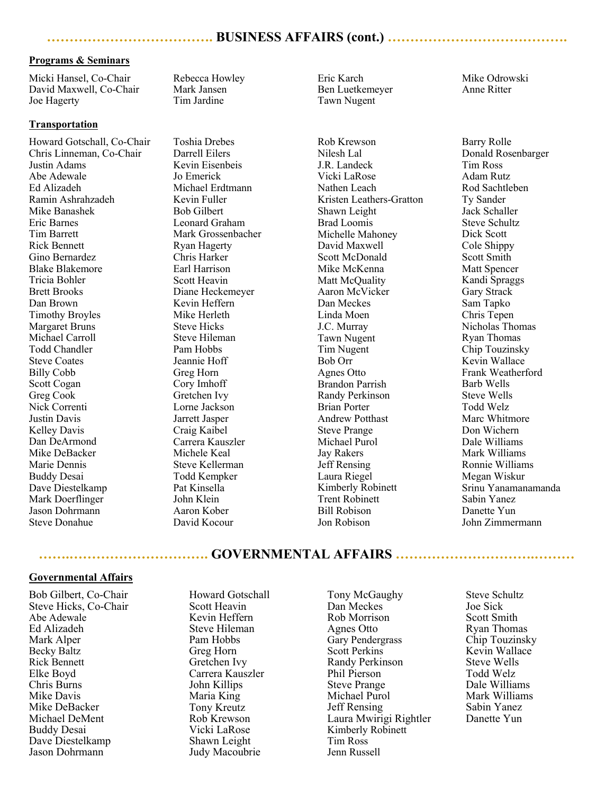#### **Programs & Seminars**

Micki Hansel, Co-Chair David Maxwell, Co-Chair Joe Hagerty

#### **Transportation**

Howard Gotschall, Co-Chair Chris Linneman, Co-Chair Justin Adams Abe Adewale Ed Alizadeh Ramin Ashrahzadeh Mike Banashek Eric Barnes Tim Barrett Rick Bennett Gino Bernardez Blake Blakemore Tricia Bohler Brett Brooks Dan Brown Timothy Broyles Margaret Bruns Michael Carroll Todd Chandler Steve Coates Billy Cobb Scott Cogan Greg Cook Nick Correnti Justin Davis Kelley Davis Dan DeArmond Mike DeBacker Marie Dennis Buddy Desai Dave Diestelkamp Mark Doerflinger Jason Dohrmann Steve Donahue

Rebecca Howley Mark Jansen Tim Jardine

Toshia Drebes Darrell Eilers Kevin Eisenbeis Jo Emerick Michael Erdtmann Kevin Fuller Bob Gilbert Leonard Graham Mark Grossenbacher Ryan Hagerty Chris Harker Earl Harrison Scott Heavin Diane Heckemeyer Kevin Heffern Mike Herleth Steve Hicks Steve Hileman Pam Hobbs Jeannie Hoff Greg Horn Cory Imhoff Gretchen Ivy Lorne Jackson Jarrett Jasper Craig Kaibel Carrera Kauszler Michele Keal Steve Kellerman Todd Kempker Pat Kinsella John Klein Aaron Kober David Kocour

Eric Karch Ben Luetkemeyer Tawn Nugent

Rob Krewson Nilesh Lal J.R. Landeck Vicki LaRose Nathen Leach Kristen Leathers-Gratton Shawn Leight Brad Loomis Michelle Mahoney David Maxwell Scott McDonald Mike McKenna Matt McQuality Aaron McVicker Dan Meckes Linda Moen J.C. Murray Tawn Nugent Tim Nugent Bob Orr Agnes Otto Brandon Parrish Randy Perkinson Brian Porter Andrew Potthast Steve Prange Michael Purol Jay Rakers Jeff Rensing Laura Riegel Kimberly Robinett Trent Robinett Bill Robison Jon Robison

Mike Odrowski Anne Ritter

Barry Rolle Donald Rosenbarger Tim Ross Adam Rutz Rod Sachtleben Ty Sander Jack Schaller Steve Schultz Dick Scott Cole Shippy Scott Smith Matt Spencer Kandi Spraggs Gary Strack Sam Tapko Chris Tepen Nicholas Thomas Ryan Thomas Chip Touzinsky Kevin Wallace Frank Weatherford Barb Wells Steve Wells Todd Welz Marc Whitmore Don Wichern Dale Williams Mark Williams Ronnie Williams Megan Wiskur Srinu Yanamanamanda Sabin Yanez Danette Yun John Zimmermann

## **…….…………………………. GOVERNMENTAL AFFAIRS ………………………….………**

#### **Governmental Affairs**

Bob Gilbert, Co-Chair Steve Hicks, Co-Chair Abe Adewale Ed Alizadeh Mark Alper Becky Baltz Rick Bennett Elke Boyd Chris Burns Mike Davis Mike DeBacker Michael DeMent Buddy Desai Dave Diestelkamp Jason Dohrmann

Howard Gotschall Scott Heavin Kevin Heffern Steve Hileman Pam Hobbs Greg Horn Gretchen Ivy Carrera Kauszler John Killips Maria King Tony Kreutz Rob Krewson Vicki LaRose Shawn Leight Judy Macoubrie

Tony McGaughy Dan Meckes Rob Morrison Agnes Otto Gary Pendergrass Scott Perkins Randy Perkinson Phil Pierson Steve Prange Michael Purol Jeff Rensing Laura Mwirigi Rightler Kimberly Robinett Tim Ross Jenn Russell

Steve Schultz Joe Sick Scott Smith Ryan Thomas Chip Touzinsky Kevin Wallace Steve Wells Todd Welz Dale Williams Mark Williams Sabin Yanez Danette Yun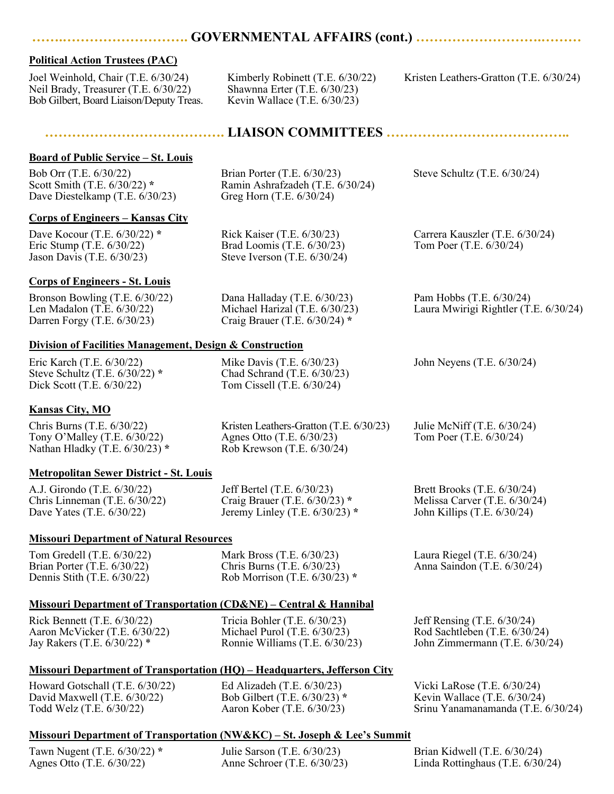## **…….………………………. GOVERNMENTAL AFFAIRS (cont.) ……………………….………**

## **Political Action Trustees (PAC)**

Joel Weinhold, Chair (T.E. 6/30/24) Neil Brady, Treasurer (T.E. 6/30/22) Bob Gilbert, Board Liaison/Deputy Treas. Kimberly Robinett (T.E. 6/30/22) Shawnna Erter (T.E. 6/30/23) Kevin Wallace (T.E. 6/30/23)

Kristen Leathers-Gratton (T.E. 6/30/24)

Steve Schultz (T.E. 6/30/24)

Carrera Kauszler (T.E. 6/30/24) Tom Poer (T.E. 6/30/24)

## **…………………………………. LIAISON COMMITTEES …………………………………..**

### **Board of Public Service – St. Louis**

Bob Orr (T.E. 6/30/22) Scott Smith (T.E. 6/30/22) **\*** Dave Diestelkamp (T.E. 6/30/23)

### **Corps of Engineers – Kansas City**

Dave Kocour (T.E. 6/30/22) **\*** Eric Stump (T.E. 6/30/22) Jason Davis (T.E. 6/30/23)

Rick Kaiser (T.E. 6/30/23) Brad Loomis (T.E. 6/30/23) Steve Iverson (T.E. 6/30/24)

Brian Porter (T.E. 6/30/23) Ramin Ashrafzadeh (T.E. 6/30/24)

Greg Horn (T.E. 6/30/24)

**Corps of Engineers - St. Louis**

Bronson Bowling (T.E. 6/30/22) Len Madalon (T.E. 6/30/22) Darren Forgy (T.E. 6/30/23) Dana Halladay (T.E. 6/30/23) Michael Harizal (T.E. 6/30/23) Craig Brauer (T.E. 6/30/24) **\*** Pam Hobbs (T.E. 6/30/24) Laura Mwirigi Rightler (T.E. 6/30/24)

## **Division of Facilities Management, Design & Construction**

Eric Karch (T.E. 6/30/22) Steve Schultz (T.E. 6/30/22) **\*** Dick Scott (T.E. 6/30/22)

Mike Davis (T.E. 6/30/23) Chad Schrand (T.E. 6/30/23) Tom Cissell (T.E. 6/30/24)

John Neyens (T.E. 6/30/24)

## **Kansas City, MO**

Chris Burns (T.E. 6/30/22) Tony O'Malley (T.E. 6/30/22) Nathan Hladky (T.E. 6/30/23) **\*** Kristen Leathers-Gratton (T.E. 6/30/23) Agnes Otto (T.E. 6/30/23) Rob Krewson (T.E. 6/30/24) Julie McNiff (T.E. 6/30/24) Tom Poer (T.E. 6/30/24)

### **Metropolitan Sewer District - St. Louis**

A.J. Girondo (T.E. 6/30/22) Chris Linneman (T.E. 6/30/22) Dave Yates (T.E. 6/30/22)

Jeff Bertel (T.E. 6/30/23) Craig Brauer (T.E. 6/30/23) **\***

### **Missouri Department of Natural Resources**

Tom Gredell (T.E. 6/30/22) Brian Porter (T.E. 6/30/22) Dennis Stith (T.E. 6/30/22)

Chris Burns (T.E. 6/30/23) Rob Morrison (T.E. 6/30/23) **\*** 

## **Missouri Department of Transportation (CD&NE) – Central & H**

Rick Bennett (T.E. 6/30/22) Aaron McVicker (T.E. 6/30/22) Jay Rakers (T.E. 6/30/22) \*

Tricia Bohler (T.E. 6/30/2 Michael Purol (T.E. 6/30/23) Ronnie Williams (T.E. 6/30/23)

### **Missouri Department of Transportation (HQ) – Headquarters, Jefferson City**

Howard Gotschall (T.E. 6/30/22) David Maxwell (T.E. 6/30/22) Todd Welz (T.E. 6/30/22)

Ed Alizadeh (T.E. 6/30/23) Bob Gilbert (T.E. 6/30/23) **\*** Aaron Kober (T.E. 6/30/23) John Zimmermann (T.E. 6/30/24)

Vicki LaRose (T.E. 6/30/24) Kevin Wallace (T.E. 6/30/24) Srinu Yanamanamanda (T.E. 6/30/24)

### **Missouri Department of Transportation (NW&KC) – St. Joseph & Lee's Summit**

Tawn Nugent (T.E. 6/30/22) **\*** Agnes Otto (T.E. 6/30/22)

Julie Sarson (T.E. 6/30/23) Anne Schroer (T.E. 6/30/23) Brian Kidwell (T.E. 6/30/24) Linda Rottinghaus (T.E. 6/30/24)

| Hannibal |                               |
|----------|-------------------------------|
| 23)      | Jeff Rensing $(T.E. 6/30/24)$ |
| (23)     | Rod Sachtleben (T.E. 6/30/24) |

Brett Brooks (T.E. 6/30/24) Melissa Carver (T.E. 6/30/24) John Killips (T.E. 6/30/24)

Laura Riegel (T.E. 6/30/24) Anna Saindon (T.E. 6/30/24)

Mark Bross (T.E. 6/30/23)

Jeremy Linley (T.E. 6/30/23) **\***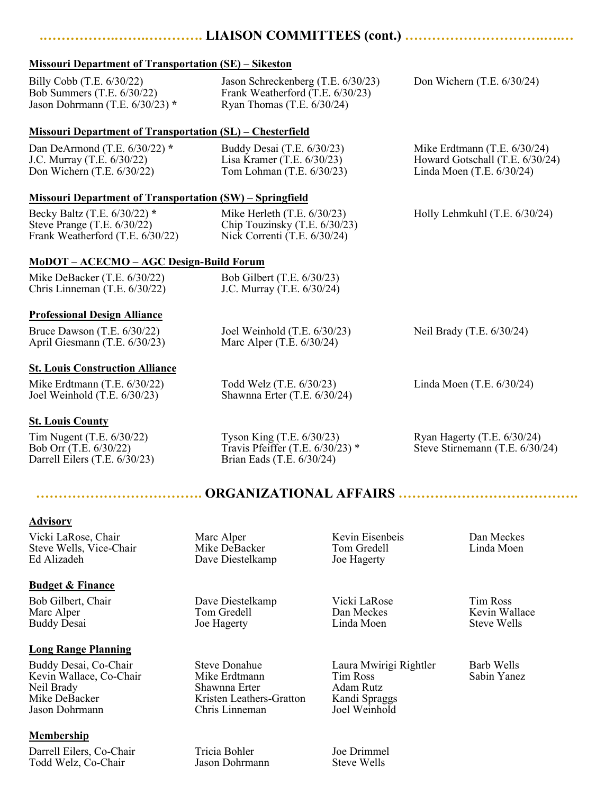## **.…………….…….…………. LIAISON COMMITTEES (cont.) ………………………….….…**

## **Missouri Department of Transportation (SE) – Sikeston**

| $\frac{1}{10000}$ and $\frac{1}{1000}$ of $\frac{1}{1000}$ and $\frac{1}{1000}$ and $\frac{1}{1000}$ |                                                                                                        |                                                                                                |  |
|------------------------------------------------------------------------------------------------------|--------------------------------------------------------------------------------------------------------|------------------------------------------------------------------------------------------------|--|
| Billy Cobb (T.E. 6/30/22)<br>Bob Summers (T.E. 6/30/22)<br>Jason Dohrmann (T.E. 6/30/23) *           | Jason Schreckenberg (T.E. 6/30/23)<br>Frank Weatherford (T.E. 6/30/23)<br>Ryan Thomas $(T.E. 6/30/24)$ | Don Wichern $(T.E. 6/30/24)$                                                                   |  |
| <b>Missouri Department of Transportation (SL) – Chesterfield</b>                                     |                                                                                                        |                                                                                                |  |
| Dan DeArmond (T.E. 6/30/22) *<br>J.C. Murray (T.E. 6/30/22)<br>Don Wichern $(T.E. 6/30/22)$          | Buddy Desai (T.E. 6/30/23)<br>Lisa Kramer (T.E. $6/30/23$ )<br>Tom Lohman (T.E. 6/30/23)               | Mike Erdtmann $(T.E. 6/30/24)$<br>Howard Gotschall (T.E. 6/30/24)<br>Linda Moen (T.E. 6/30/24) |  |
| <b>Missouri Department of Transportation (SW) – Springfield</b>                                      |                                                                                                        |                                                                                                |  |
| Becky Baltz (T.E. 6/30/22) *<br>Steve Prange $(T.E. 6/30/22)$<br>Frank Weatherford (T.E. 6/30/22)    | Mike Herleth $(T.E. 6/30/23)$<br>Chip Touzinsky (T.E. 6/30/23)<br>Nick Correnti (T.E. 6/30/24)         | Holly Lehmkuhl (T.E. 6/30/24)                                                                  |  |
| MoDOT - ACECMO - AGC Design-Build Forum                                                              |                                                                                                        |                                                                                                |  |
| Mike DeBacker (T.E. 6/30/22)<br>Chris Linneman (T.E. 6/30/22)                                        | Bob Gilbert (T.E. 6/30/23)<br>J.C. Murray (T.E. 6/30/24)                                               |                                                                                                |  |
| <b>Professional Design Alliance</b>                                                                  |                                                                                                        |                                                                                                |  |
| Bruce Dawson $(T.E. 6/30/22)$<br>April Giesmann (T.E. 6/30/23)                                       | Joel Weinhold $(T.E. 6/30/23)$<br>Marc Alper $(T.E. 6/30/24)$                                          | Neil Brady (T.E. 6/30/24)                                                                      |  |
| <b>St. Louis Construction Alliance</b>                                                               |                                                                                                        |                                                                                                |  |
| Mike Erdtmann $(T.E. 6/30/22)$<br>Joel Weinhold $(T.E. 6/30/23)$                                     | Todd Welz (T.E. 6/30/23)<br>Shawnna Erter (T.E. 6/30/24)                                               | Linda Moen $(T.E. 6/30/24)$                                                                    |  |
| <b>St. Louis County</b>                                                                              |                                                                                                        |                                                                                                |  |
| Tim Nugent (T.E. 6/30/22)<br>Bob Orr (T.E. 6/30/22)<br>Darrell Eilers (T.E. 6/30/23)                 | Tyson King (T.E. 6/30/23)<br>Travis Pfeiffer (T.E. $6/30/23$ ) *<br>Brian Eads (T.E. 6/30/24)          | Ryan Hagerty (T.E. 6/30/24)<br>Steve Stirnemann (T.E. 6/30/24)                                 |  |

## **………………………………. ORGANIZATIONAL AFFAIRS ………………………………….**

## **Advisory**

Vicki LaRose, Chair Steve Wells, Vice-Chair Ed Alizadeh

## **Budget & Finance**

Bob Gilbert, Chair Marc Alper Buddy Desai

## **Long Range Planning**

Buddy Desai, Co-Chair Kevin Wallace, Co-Chair Neil Brady Mike DeBacker Jason Dohrmann

## **Membership**

Darrell Eilers, Co-Chair Todd Welz, Co-Chair

Marc Alper Mike DeBacker Dave Diestelkamp

Dave Diestelkamp Tom Gredell Joe Hagerty

Steve Donahue Mike Erdtmann Shawnna Erter Kristen Leathers-Gratton Chris Linneman

Tricia Bohler Jason Dohrmann Kevin Eisenbeis

Vicki LaRose

Laura Mwirigi Rightler Tim Ross Adam Rutz Kandi Spraggs Joel Weinhold

Joe Drimmel Steve Wells

Dan Meckes Linda Moen

Tim Ross Kevin Wallace Steve Wells

Barb Wells Sabin Yanez

Tom Gredell Joe Hagerty

> Dan Meckes Linda Moen